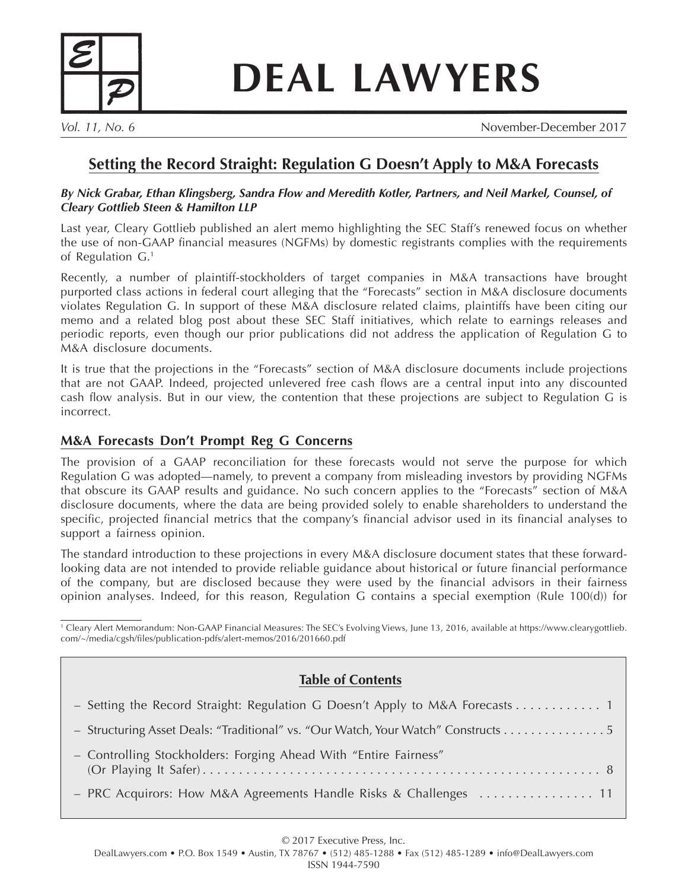

# **DEAL LAWYERS**

*Vol. 11, No. 6* November-December 2017

## **Setting the Record Straight: Regulation G Doesn't Apply to M&A Forecasts**

#### *By Nick Grabar, Ethan Klingsberg, Sandra Flow and Meredith Kotler, Partners, and Neil Markel, Counsel, of Cleary Gottlieb Steen & Hamilton LLP*

Last year, Cleary Gottlieb published an alert memo highlighting the SEC Staff's renewed focus on whether the use of non-GAAP financial measures (NGFMs) by domestic registrants complies with the requirements of Regulation G.1

Recently, a number of plaintiff-stockholders of target companies in M&A transactions have brought purported class actions in federal court alleging that the "Forecasts" section in M&A disclosure documents violates Regulation G. In support of these M&A disclosure related claims, plaintiffs have been citing our memo and a related blog post about these SEC Staff initiatives, which relate to earnings releases and periodic reports, even though our prior publications did not address the application of Regulation G to M&A disclosure documents.

It is true that the projections in the "Forecasts" section of M&A disclosure documents include projections that are not GAAP. Indeed, projected unlevered free cash flows are a central input into any discounted cash flow analysis. But in our view, the contention that these projections are subject to Regulation G is incorrect.

## **M&A Forecasts Don't Prompt Reg G Concerns**

The provision of a GAAP reconciliation for these forecasts would not serve the purpose for which Regulation G was adopted—namely, to prevent a company from misleading investors by providing NGFMs that obscure its GAAP results and guidance. No such concern applies to the "Forecasts" section of M&A disclosure documents, where the data are being provided solely to enable shareholders to understand the specific, projected financial metrics that the company's financial advisor used in its financial analyses to support a fairness opinion.

The standard introduction to these projections in every M&A disclosure document states that these forwardlooking data are not intended to provide reliable guidance about historical or future financial performance of the company, but are disclosed because they were used by the financial advisors in their fairness opinion analyses. Indeed, for this reason, Regulation G contains a special exemption (Rule 100(d)) for

| <sup>1</sup> Cleary Alert Memorandum: Non-GAAP Financial Measures: The SEC's Evolving Views, June 13, 2016, available at https://www.clearygottlieb. |  |
|------------------------------------------------------------------------------------------------------------------------------------------------------|--|
| com/~/media/cgsh/files/publication-pdfs/alert-memos/2016/201660.pdf                                                                                  |  |

## **Table of Contents**

| - Structuring Asset Deals: "Traditional" vs. "Our Watch, Your Watch" Constructs 5 |  |
|-----------------------------------------------------------------------------------|--|
| - Controlling Stockholders: Forging Ahead With "Entire Fairness"                  |  |
|                                                                                   |  |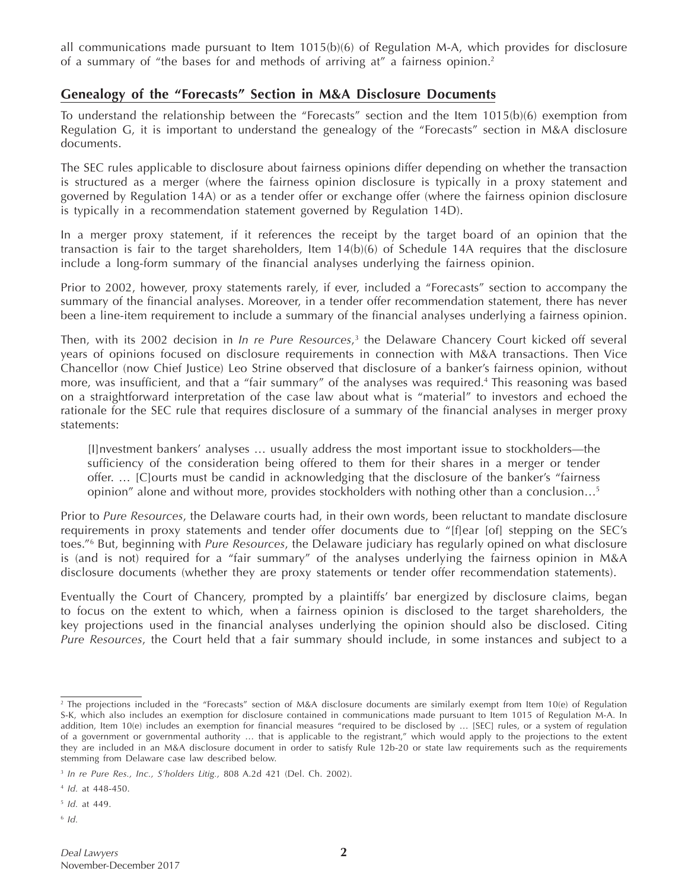all communications made pursuant to Item 1015(b)(6) of Regulation M-A, which provides for disclosure of a summary of "the bases for and methods of arriving at" a fairness opinion.2

### **Genealogy of the "Forecasts" Section in M&A Disclosure Documents**

To understand the relationship between the "Forecasts" section and the Item 1015(b)(6) exemption from Regulation G, it is important to understand the genealogy of the "Forecasts" section in M&A disclosure documents.

The SEC rules applicable to disclosure about fairness opinions differ depending on whether the transaction is structured as a merger (where the fairness opinion disclosure is typically in a proxy statement and governed by Regulation 14A) or as a tender offer or exchange offer (where the fairness opinion disclosure is typically in a recommendation statement governed by Regulation 14D).

In a merger proxy statement, if it references the receipt by the target board of an opinion that the transaction is fair to the target shareholders, Item 14(b)(6) of Schedule 14A requires that the disclosure include a long-form summary of the financial analyses underlying the fairness opinion.

Prior to 2002, however, proxy statements rarely, if ever, included a "Forecasts" section to accompany the summary of the financial analyses. Moreover, in a tender offer recommendation statement, there has never been a line-item requirement to include a summary of the financial analyses underlying a fairness opinion.

Then, with its 2002 decision in *In re Pure Resources*, 3 the Delaware Chancery Court kicked off several years of opinions focused on disclosure requirements in connection with M&A transactions. Then Vice Chancellor (now Chief Justice) Leo Strine observed that disclosure of a banker's fairness opinion, without more, was insufficient, and that a "fair summary" of the analyses was required.<sup>4</sup> This reasoning was based on a straightforward interpretation of the case law about what is "material" to investors and echoed the rationale for the SEC rule that requires disclosure of a summary of the financial analyses in merger proxy statements:

[I]nvestment bankers' analyses … usually address the most important issue to stockholders—the sufficiency of the consideration being offered to them for their shares in a merger or tender offer. … [C]ourts must be candid in acknowledging that the disclosure of the banker's "fairness opinion" alone and without more, provides stockholders with nothing other than a conclusion…5

Prior to *Pure Resources*, the Delaware courts had, in their own words, been reluctant to mandate disclosure requirements in proxy statements and tender offer documents due to "[f]ear [of] stepping on the SEC's toes."6 But, beginning with *Pure Resources*, the Delaware judiciary has regularly opined on what disclosure is (and is not) required for a "fair summary" of the analyses underlying the fairness opinion in M&A disclosure documents (whether they are proxy statements or tender offer recommendation statements).

Eventually the Court of Chancery, prompted by a plaintiffs' bar energized by disclosure claims, began to focus on the extent to which, when a fairness opinion is disclosed to the target shareholders, the key projections used in the financial analyses underlying the opinion should also be disclosed. Citing *Pure Resources*, the Court held that a fair summary should include, in some instances and subject to a

<sup>5</sup> *Id.* at 449.

<sup>6</sup> *Id.*

<sup>&</sup>lt;sup>2</sup> The projections included in the "Forecasts" section of M&A disclosure documents are similarly exempt from Item 10(e) of Regulation S-K, which also includes an exemption for disclosure contained in communications made pursuant to Item 1015 of Regulation M-A. In addition, Item 10(e) includes an exemption for financial measures "required to be disclosed by … [SEC] rules, or a system of regulation of a government or governmental authority … that is applicable to the registrant," which would apply to the projections to the extent they are included in an M&A disclosure document in order to satisfy Rule 12b-20 or state law requirements such as the requirements stemming from Delaware case law described below.

<sup>3</sup> *In re Pure Res., Inc., S'holders Litig.,* 808 A.2d 421 (Del. Ch. 2002).

<sup>4</sup> *Id.* at 448-450.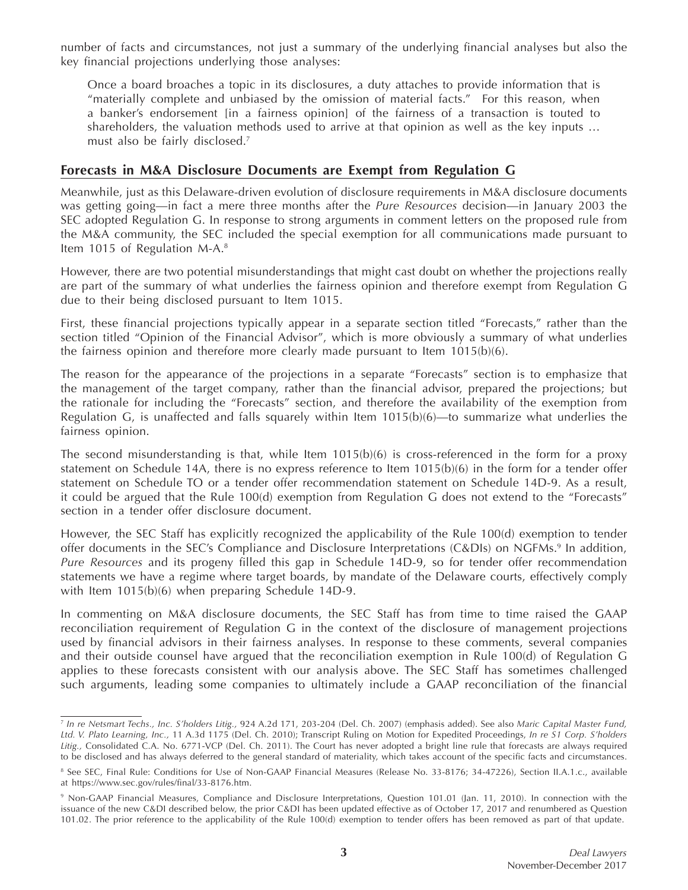number of facts and circumstances, not just a summary of the underlying financial analyses but also the key financial projections underlying those analyses:

Once a board broaches a topic in its disclosures, a duty attaches to provide information that is "materially complete and unbiased by the omission of material facts." For this reason, when a banker's endorsement [in a fairness opinion] of the fairness of a transaction is touted to shareholders, the valuation methods used to arrive at that opinion as well as the key inputs … must also be fairly disclosed.7

## **Forecasts in M&A Disclosure Documents are Exempt from Regulation G**

Meanwhile, just as this Delaware-driven evolution of disclosure requirements in M&A disclosure documents was getting going—in fact a mere three months after the *Pure Resources* decision—in January 2003 the SEC adopted Regulation G. In response to strong arguments in comment letters on the proposed rule from the M&A community, the SEC included the special exemption for all communications made pursuant to Item 1015 of Regulation M-A.<sup>8</sup>

However, there are two potential misunderstandings that might cast doubt on whether the projections really are part of the summary of what underlies the fairness opinion and therefore exempt from Regulation G due to their being disclosed pursuant to Item 1015.

First, these financial projections typically appear in a separate section titled "Forecasts," rather than the section titled "Opinion of the Financial Advisor", which is more obviously a summary of what underlies the fairness opinion and therefore more clearly made pursuant to Item 1015(b)(6).

The reason for the appearance of the projections in a separate "Forecasts" section is to emphasize that the management of the target company, rather than the financial advisor, prepared the projections; but the rationale for including the "Forecasts" section, and therefore the availability of the exemption from Regulation G, is unaffected and falls squarely within Item  $1015(b)(6)$ —to summarize what underlies the fairness opinion.

The second misunderstanding is that, while Item  $1015(b)(6)$  is cross-referenced in the form for a proxy statement on Schedule 14A, there is no express reference to Item 1015(b)(6) in the form for a tender offer statement on Schedule TO or a tender offer recommendation statement on Schedule 14D-9. As a result, it could be argued that the Rule 100(d) exemption from Regulation G does not extend to the "Forecasts" section in a tender offer disclosure document.

However, the SEC Staff has explicitly recognized the applicability of the Rule 100(d) exemption to tender offer documents in the SEC's Compliance and Disclosure Interpretations (C&DIs) on NGFMs.<sup>9</sup> In addition, *Pure Resources* and its progeny filled this gap in Schedule 14D-9, so for tender offer recommendation statements we have a regime where target boards, by mandate of the Delaware courts, effectively comply with Item 1015(b)(6) when preparing Schedule 14D-9.

In commenting on M&A disclosure documents, the SEC Staff has from time to time raised the GAAP reconciliation requirement of Regulation G in the context of the disclosure of management projections used by financial advisors in their fairness analyses. In response to these comments, several companies and their outside counsel have argued that the reconciliation exemption in Rule 100(d) of Regulation G applies to these forecasts consistent with our analysis above. The SEC Staff has sometimes challenged such arguments, leading some companies to ultimately include a GAAP reconciliation of the financial

<sup>7</sup> *In re Netsmart Techs., Inc. S'holders Litig.,* 924 A.2d 171, 203-204 (Del. Ch. 2007) (emphasis added). See also *Maric Capital Master Fund, Ltd. V. Plato Learning, Inc.,* 11 A.3d 1175 (Del. Ch. 2010); Transcript Ruling on Motion for Expedited Proceedings, *In re S1 Corp. S'holders Litig.,* Consolidated C.A. No. 6771-VCP (Del. Ch. 2011). The Court has never adopted a bright line rule that forecasts are always required to be disclosed and has always deferred to the general standard of materiality, which takes account of the specific facts and circumstances.

<sup>&</sup>lt;sup>8</sup> See SEC, Final Rule: Conditions for Use of Non-GAAP Financial Measures (Release No. 33-8176; 34-47226), Section II.A.1.c., available at https://www.sec.gov/rules/final/33-8176.htm.

<sup>9</sup> Non-GAAP Financial Measures, Compliance and Disclosure Interpretations, Question 101.01 (Jan. 11, 2010). In connection with the issuance of the new C&DI described below, the prior C&DI has been updated effective as of October 17, 2017 and renumbered as Question 101.02. The prior reference to the applicability of the Rule 100(d) exemption to tender offers has been removed as part of that update.